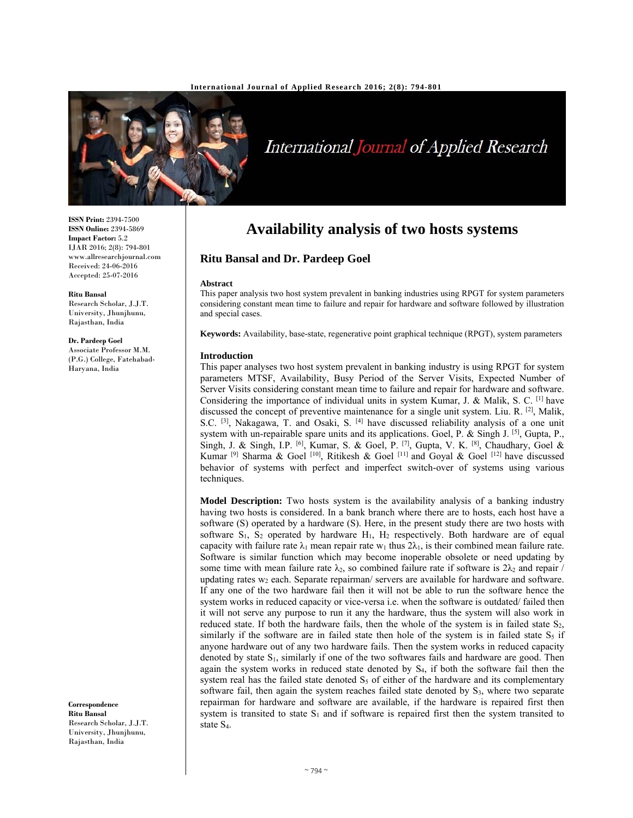

International Journal of Applied Research

# **Availability analysis of two hosts systems**

## **Ritu Bansal and Dr. Pardeep Goel**

#### **Abstract**

This paper analysis two host system prevalent in banking industries using RPGT for system parameters considering constant mean time to failure and repair for hardware and software followed by illustration and special cases.

**Keywords:** Availability, base-state, regenerative point graphical technique (RPGT), system parameters

#### **Introduction**

This paper analyses two host system prevalent in banking industry is using RPGT for system parameters MTSF, Availability, Busy Period of the Server Visits, Expected Number of Server Visits considering constant mean time to failure and repair for hardware and software. Considering the importance of individual units in system Kumar, J. & Malik, S. C. [1] have discussed the concept of preventive maintenance for a single unit system. Liu. R.  $^{[2]}$ , Malik, S.C.  $[3]$ , Nakagawa, T. and Osaki, S.  $[4]$  have discussed reliability analysis of a one unit system with un-repairable spare units and its applications. Goel, P. & Singh J. [5], Gupta, P., Singh, J. & Singh, I.P. [6], Kumar, S. & Goel, P. [7], Gupta, V. K. [8], Chaudhary, Goel & Kumar <sup>[9]</sup> Sharma & Goel <sup>[10]</sup>, Ritikesh & Goel <sup>[11]</sup> and Goyal & Goel <sup>[12]</sup> have discussed behavior of systems with perfect and imperfect switch-over of systems using various techniques.

**Model Description:** Two hosts system is the availability analysis of a banking industry having two hosts is considered. In a bank branch where there are to hosts, each host have a software (S) operated by a hardware (S). Here, in the present study there are two hosts with software  $S_1$ ,  $S_2$  operated by hardware  $H_1$ ,  $H_2$  respectively. Both hardware are of equal capacity with failure rate  $\lambda_1$  mean repair rate w<sub>1</sub> thus  $2\lambda_1$ , is their combined mean failure rate. Software is similar function which may become inoperable obsolete or need updating by some time with mean failure rate  $\lambda_2$ , so combined failure rate if software is  $2\lambda_2$  and repair / updating rates  $w_2$  each. Separate repairman/ servers are available for hardware and software. If any one of the two hardware fail then it will not be able to run the software hence the system works in reduced capacity or vice-versa i.e. when the software is outdated/ failed then it will not serve any purpose to run it any the hardware, thus the system will also work in reduced state. If both the hardware fails, then the whole of the system is in failed state  $S_2$ , similarly if the software are in failed state then hole of the system is in failed state  $S_5$  if anyone hardware out of any two hardware fails. Then the system works in reduced capacity denoted by state  $S_1$ , similarly if one of the two softwares fails and hardware are good. Then again the system works in reduced state denoted by S4, if both the software fail then the system real has the failed state denoted  $S<sub>5</sub>$  of either of the hardware and its complementary software fail, then again the system reaches failed state denoted by S<sub>3</sub>, where two separate repairman for hardware and software are available, if the hardware is repaired first then system is transited to state  $S_1$  and if software is repaired first then the system transited to state S4.

**ISSN Print:** 2394-7500 **ISSN Online:** 2394-5869 **Impact Factor:** 5.2 IJAR 2016; 2(8): 794-801 www.allresearchjournal.com Received: 24-06-2016 Accepted: 25-07-2016

#### **Ritu Bansal**

Research Scholar, J.J.T. University, Jhunjhunu, Rajasthan, India

#### **Dr. Pardeep Goel**

Associate Professor M.M. (P.G.) College, Fatehabad-Haryana, India

**Correspondence Ritu Bansal**  Research Scholar, J.J.T. University, Jhunjhunu, Rajasthan, India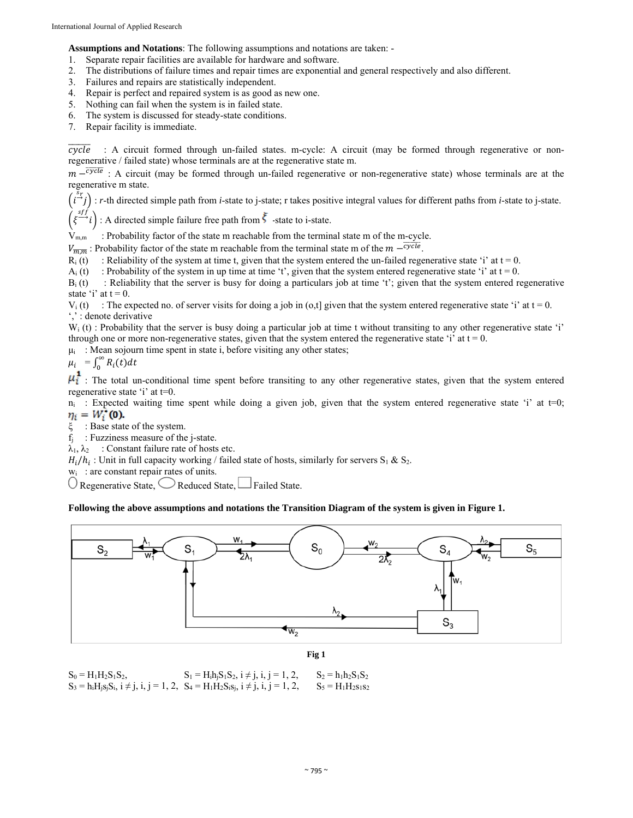**Assumptions and Notations**: The following assumptions and notations are taken: -

- 1. Separate repair facilities are available for hardware and software.
- 2. The distributions of failure times and repair times are exponential and general respectively and also different.
- 3. Failures and repairs are statistically independent.
- 4. Repair is perfect and repaired system is as good as new one.
- 5. Nothing can fail when the system is in failed state.
- 6. The system is discussed for steady-state conditions.
- 7. Repair facility is immediate.

 $\overline{cycle}$  : A circuit formed through un-failed states. m-cycle: A circuit (may be formed through regenerative or nonregenerative / failed state) whose terminals are at the regenerative state m.

 $m - \overline{cycle}$ : A circuit (may be formed through un-failed regenerative or non-regenerative state) whose terminals are at the regenerative m state.

 $(i \overset{sr}{\rightarrow} j)$ : *r*-th directed simple path from *i*-state to j-state; r takes positive integral values for different paths from *i*-state to j-state.

 $\int \xi^{\frac{sf}{}}$ : A directed simple failure free path from  $\overline{\xi}$  -state to i-state.

 $V_{m,m}$  : Probability factor of the state m reachable from the terminal state m of the m-cycle.

 $V_{\overline{m},\overline{m}}$ : Probability factor of the state m reachable from the terminal state m of the  $m - \overline{cycle}$ .

 $R_i(t)$ : Reliability of the system at time t, given that the system entered the un-failed regenerative state 'i' at  $t = 0$ .

 $A_i(t)$ : Probability of the system in up time at time 't', given that the system entered regenerative state 'i' at t = 0.

 $B_i(t)$ : Reliability that the server is busy for doing a particulars job at time 't'; given that the system entered regenerative state 'i' at  $t = 0$ .

 $V_i(t)$ : The expected no. of server visits for doing a job in (o,t) given that the system entered regenerative state 'i' at  $t = 0$ . ',' : denote derivative

 $W_i(t)$ : Probability that the server is busy doing a particular job at time t without transiting to any other regenerative state 'i' through one or more non-regenerative states, given that the system entered the regenerative state 'i' at  $t = 0$ .

 $\mu_i$ : Mean sojourn time spent in state i, before visiting any other states;

$$
\mu_i = \int_0^\infty R_i(t) dt
$$

 $\mu_i$ : The total un-conditional time spent before transiting to any other regenerative states, given that the system entered regenerative state 'i' at t=0.

 $n_i$ : Expected waiting time spent while doing a given job, given that the system entered regenerative state 'i' at t=0;  $\eta_i = W_i^*(0)$ .

ξ : Base state of the system.

 $f_i$ : Fuzziness measure of the j-state.

 $\lambda_1, \lambda_2$  : Constant failure rate of hosts etc.

 $H_i/h_i$ : Unit in full capacity working / failed state of hosts, similarly for servers  $S_1 \& S_2$ .

 $w_i$ : are constant repair rates of units.

 $\bigcirc$  Regenerative State,  $\bigcirc$  Reduced State,  $\bigcup$  Failed State.

## **Following the above assumptions and notations the Transition Diagram of the system is given in Figure 1.**





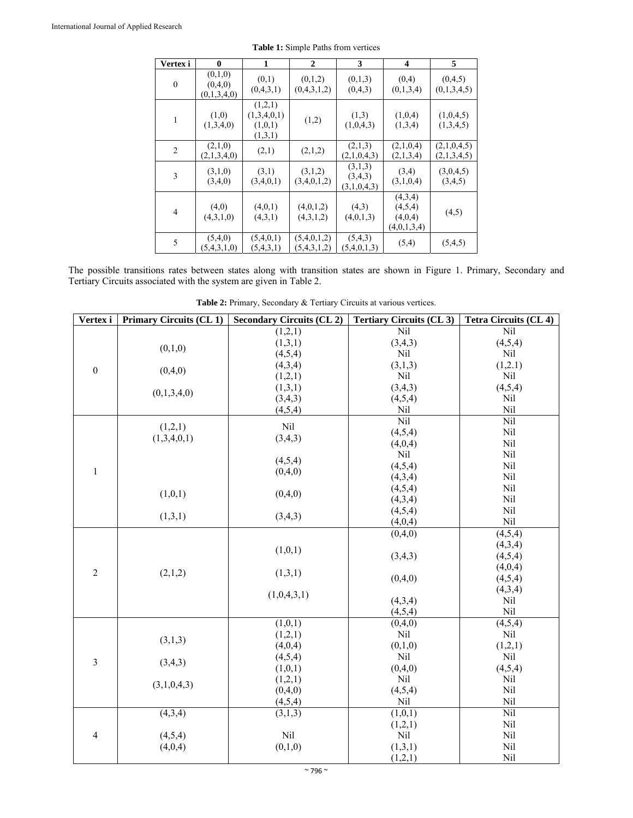| Vertex i       | 0                                 | 1                                            | $\mathbf{2}$               | 3                                 | $\overline{\mathbf{4}}$                      | 5                          |
|----------------|-----------------------------------|----------------------------------------------|----------------------------|-----------------------------------|----------------------------------------------|----------------------------|
| $\mathbf{0}$   | (0,1,0)<br>(0,4,0)<br>(0,1,3,4,0) | (0,1)<br>(0,4,3,1)                           | (0,1,2)<br>(0,4,3,1,2)     | (0,1,3)<br>(0,4,3)                | (0,4)<br>(0,1,3,4)                           | (0,4,5)<br>(0,1,3,4,5)     |
| 1              | (1,0)<br>(1,3,4,0)                | (1,2,1)<br>(1,3,4,0,1)<br>(1,0,1)<br>(1,3,1) | (1,2)                      | (1,3)<br>(1,0,4,3)                | (1,0,4)<br>(1,3,4)                           | (1,0,4,5)<br>(1,3,4,5)     |
| $\overline{2}$ | (2,1,0)<br>(2,1,3,4,0)            | (2,1)                                        | (2,1,2)                    | (2,1,3)<br>(2,1,0,4,3)            | (2,1,0,4)<br>(2,1,3,4)                       | (2,1,0,4,5)<br>(2,1,3,4,5) |
| 3              | (3,1,0)<br>(3,4,0)                | (3,1)<br>(3,4,0,1)                           | (3,1,2)<br>(3,4,0,1,2)     | (3,1,3)<br>(3,4,3)<br>(3,1,0,4,3) | (3,4)<br>(3,1,0,4)                           | (3,0,4,5)<br>(3,4,5)       |
| 4              | (4,0)<br>(4,3,1,0)                | (4,0,1)<br>(4,3,1)                           | (4,0,1,2)<br>(4,3,1,2)     | (4,3)<br>(4,0,1,3)                | (4,3,4)<br>(4,5,4)<br>(4,0,4)<br>(4,0,1,3,4) | (4,5)                      |
| 5              | (5,4,0)<br>(5,4,3,1,0)            | (5,4,0,1)<br>(5,4,3,1)                       | (5,4,0,1,2)<br>(5,4,3,1,2) | (5,4,3)<br>(5,4,0,1,3)            | (5,4)                                        | (5,4,5)                    |

**Table 1:** Simple Paths from vertices

The possible transitions rates between states along with transition states are shown in Figure 1. Primary, Secondary and Tertiary Circuits associated with the system are given in Table 2.

| Vertex i         | <b>Primary Circuits (CL1)</b> | <b>Secondary Circuits (CL2)</b> | <b>Tertiary Circuits (CL 3)</b> | Tetra Circuits (CL 4) |
|------------------|-------------------------------|---------------------------------|---------------------------------|-----------------------|
|                  |                               | (1,2,1)                         | Nil                             | Nil                   |
|                  | (0,1,0)                       | (1,3,1)                         | (3,4,3)                         | (4,5,4)               |
|                  |                               | (4,5,4)                         | Nil                             | Nil                   |
| $\boldsymbol{0}$ | (0,4,0)                       | (4,3,4)                         | (3,1,3)                         | (1,2.1)               |
|                  |                               | (1,2,1)                         | Nil                             | Nil                   |
|                  | (0,1,3,4,0)                   | (1,3,1)                         | (3,4,3)                         | (4,5,4)               |
|                  |                               | (3,4,3)                         | (4,5,4)                         | Nil                   |
|                  |                               | (4,5,4)                         | Nil                             | Nil                   |
|                  | (1,2,1)                       | Nil                             | Nil                             | Nil                   |
|                  | (1,3,4,0,1)                   | (3,4,3)                         | (4,5,4)                         | Nil                   |
|                  |                               |                                 | (4,0,4)                         | Nil                   |
|                  |                               | (4,5,4)                         | Nil                             | Nil                   |
| $\mathbf{1}$     |                               | (0,4,0)                         | (4,5,4)                         | Nil                   |
|                  |                               |                                 | (4,3,4)                         | Nil                   |
|                  | (1,0,1)                       | (0,4,0)                         | (4,5,4)                         | Nil                   |
|                  |                               |                                 | (4,3,4)                         | Nil                   |
|                  | (1,3,1)                       | (3,4,3)                         | (4,5,4)                         | Nil                   |
|                  |                               |                                 | (4,0,4)                         | Nil                   |
|                  |                               |                                 | (0,4,0)                         | (4,5,4)               |
|                  |                               | (1,0,1)                         |                                 | (4,3,4)               |
|                  |                               |                                 | (3,4,3)                         | (4,5,4)               |
| $\overline{2}$   | (2,1,2)                       | (1,3,1)                         |                                 | (4,0,4)               |
|                  |                               |                                 | (0,4,0)                         | (4,5,4)               |
|                  |                               | (1,0,4,3,1)                     |                                 | (4,3,4)               |
|                  |                               |                                 | (4,3,4)                         | Nil                   |
|                  |                               |                                 | (4,5,4)                         | Nil                   |
|                  |                               | (1,0,1)                         | (0,4,0)                         | (4,5,4)               |
|                  | (3,1,3)                       | (1,2,1)                         | Nil                             | Nil                   |
|                  |                               | (4,0,4)                         | (0,1,0)                         | (1,2,1)               |
| 3                | (3,4,3)                       | (4,5,4)                         | Nil                             | Nil                   |
|                  |                               | (1,0,1)                         | (0,4,0)                         | (4,5,4)               |
|                  | (3,1,0,4,3)                   | (1,2,1)                         | Nil                             | Nil                   |
|                  |                               | (0,4,0)                         | (4,5,4)                         | Nil                   |
|                  |                               | (4,5,4)                         | Nil                             | Nil                   |
|                  | (4,3,4)                       | (3,1,3)                         | (1,0,1)                         | Nil                   |
|                  |                               |                                 | (1,2,1)                         | Nil                   |
| $\overline{4}$   | (4,5,4)                       | Nil                             | Nil                             | Nil                   |
|                  | (4,0,4)                       | (0,1,0)                         | (1,3,1)                         | Nil                   |
|                  |                               |                                 | (1,2,1)                         | Nil                   |

**Table 2:** Primary, Secondary & Tertiary Circuits at various vertices.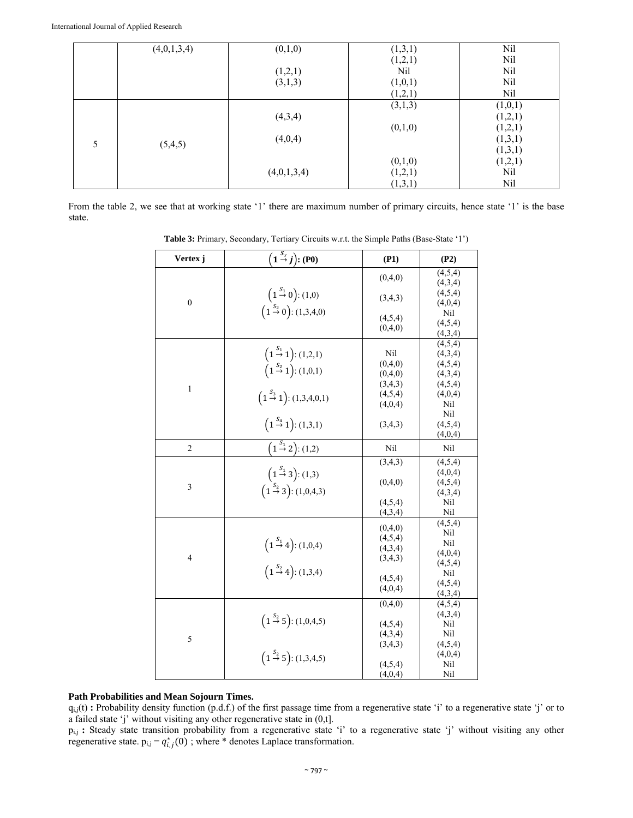|   | (4,0,1,3,4) | (0,1,0)     | (1,3,1) | Nil     |
|---|-------------|-------------|---------|---------|
|   |             |             | (1,2,1) | Nil     |
|   |             | (1,2,1)     | Nil     | Nil     |
|   |             | (3,1,3)     | (1,0,1) | Nil     |
|   |             |             | (1,2,1) | Nil     |
|   |             |             | (3,1,3) | (1,0,1) |
|   |             | (4,3,4)     |         | (1,2,1) |
|   |             |             | (0,1,0) | (1,2,1) |
| 5 |             | (4,0,4)     |         | (1,3,1) |
|   | (5,4,5)     |             |         | (1,3,1) |
|   |             |             | (0,1,0) | (1,2,1) |
|   |             | (4,0,1,3,4) | (1,2,1) | Nil     |
|   |             |             | (1,3,1) | Nil     |

From the table 2, we see that at working state '1' there are maximum number of primary circuits, hence state '1' is the base state.

| Vertex j       | $\overline{(1\stackrel{S_r}{\rightarrow}j)}$ : (P0)                                                                                               | (P1)                                                           | (P2)                                                                     |
|----------------|---------------------------------------------------------------------------------------------------------------------------------------------------|----------------------------------------------------------------|--------------------------------------------------------------------------|
|                |                                                                                                                                                   | (0,4,0)                                                        | (4,5,4)                                                                  |
| $\overline{0}$ | $(1 \stackrel{S_1}{\rightarrow} 0)$ : (1,0)                                                                                                       | (3,4,3)                                                        | (4,3,4)<br>(4,5,4)<br>(4,0,4)                                            |
|                | $(1 \stackrel{S_2}{\rightarrow} 0)$ : (1,3,4,0)                                                                                                   | (4,5,4)<br>(0,4,0)                                             | Nil<br>(4,5,4)<br>(4,3,4)                                                |
| $\mathbf{1}$   | $(1 \stackrel{S_1}{\rightarrow} 1):(1,2,1)$<br>$(1 \stackrel{S_2}{\rightarrow} 1)$ : (1,0,1)<br>$(1 \stackrel{S_3}{\rightarrow} 1)$ : (1,3,4,0,1) | Nil<br>(0,4,0)<br>(0,4,0)<br>(3,4,3)<br>(4,5,4)                | (4,5,4)<br>(4,3,4)<br>(4,5,4)<br>(4,3,4)<br>(4,5,4)<br>(4,0,4)           |
|                | $\left(1\stackrel{S_{4}}{\rightarrow}1\right):(1,3,1)$                                                                                            | (4,0,4)<br>(3,4,3)                                             | Nil<br>Nil<br>(4,5,4)<br>(4,0,4)                                         |
| $\overline{2}$ | $\overline{\left(1\stackrel{S_1}{\rightarrow} 2\right)}$ : (1,2)                                                                                  | Nil                                                            | Nil                                                                      |
| 3              | $(1\frac{S_1}{\rightarrow}3):(1,3)$<br>$(1 \stackrel{S_2}{\rightarrow} 3)$ : (1,0,4,3)                                                            | (3,4,3)<br>(0,4,0)<br>(4,5,4)<br>(4,3,4)                       | (4,5,4)<br>(4,0,4)<br>(4,5,4)<br>(4,3,4)<br>Nil<br>Nil                   |
| $\overline{4}$ | $(1 \stackrel{S_1}{\rightarrow} 4)$ : (1,0,4)<br>$(1 \stackrel{S_2}{\rightarrow} 4)$ : (1,3,4)                                                    | (0,4,0)<br>(4,5,4)<br>(4,3,4)<br>(3,4,3)<br>(4,5,4)<br>(4,0,4) | (4,5,4)<br>Nil<br>Nil<br>(4,0,4)<br>(4,5,4)<br>Nil<br>(4,5,4)<br>(4,3,4) |
| 5              | $(1 \stackrel{S_2}{\rightarrow} 5)$ : (1,0,4,5)                                                                                                   | (0,4,0)<br>(4,5,4)<br>(4,3,4)<br>(3,4,3)                       | (4,5,4)<br>(4,3,4)<br>Nil<br>Nil<br>(4,5,4)                              |
|                | $(1 \stackrel{S_2}{\rightarrow} 5)$ : (1,3,4,5)                                                                                                   | (4,5,4)<br>(4,0,4)                                             | (4,0,4)<br>Nil<br>Nil                                                    |

**Table 3:** Primary, Secondary, Tertiary Circuits w.r.t. the Simple Paths (Base-State '1')

## **Path Probabilities and Mean Sojourn Times.**

qi,j(t) **:** Probability density function (p.d.f.) of the first passage time from a regenerative state 'i' to a regenerative state 'j' or to a failed state 'j' without visiting any other regenerative state in (0,t].

pi,j **:** Steady state transition probability from a regenerative state 'i' to a regenerative state 'j' without visiting any other regenerative state.  $p_{i,j} = q_{i,j}^*(0)$ ; where \* denotes Laplace transformation.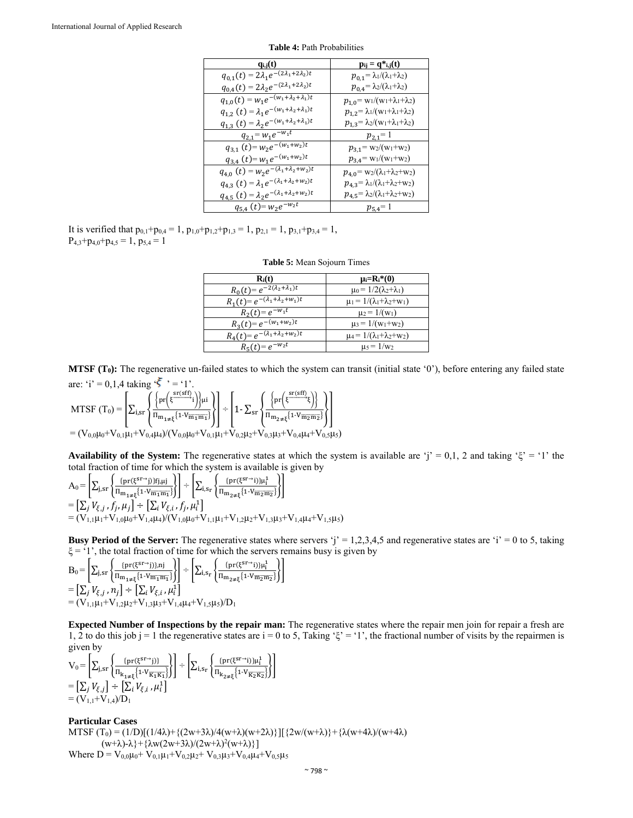| $q_{i,j}(t)$                                                      | $p_{ij} = q *_{i,j}(t)$                             |
|-------------------------------------------------------------------|-----------------------------------------------------|
| $q_{0,1}(t) = 2\lambda_1 e^{-(2\lambda_1 + 2\lambda_2)t}$         | $p_{0,1} = \lambda_1/(\lambda_1 + \lambda_2)$       |
| $q_{0,4}(t) = 2\lambda_2 e^{-(2\lambda_1 + 2\lambda_2)t}$         | $p_{0,4} = \lambda_2/(\lambda_1 + \lambda_2)$       |
| $q_{1,0}(t) = w_1 e^{-\overline{(w_1 + \lambda_2 + \lambda_1)t}}$ | $p_{1,0} = w_1/(w_1 + \lambda_1 + \lambda_2)$       |
| $q_{1,2}(t) = \lambda_1 e^{-(w_1 + \lambda_2 + \lambda_1)t}$      | $p_{1,2} = \lambda_1/(w_1 + \lambda_1 + \lambda_2)$ |
| $q_{1,3}(t) = \lambda_2 e^{-(w_1 + \lambda_2 + \lambda_1)t}$      | $p_{1,3} = \lambda_2/(w_1 + \lambda_1 + \lambda_2)$ |
| $q_{2,1} = w_1 e^{-w_1 t}$                                        | $p_{2,1}=1$                                         |
| $q_{3,1}(t) = w_2 e^{-(w_1 + \overline{w_2})t}$                   | $p_{3,1} = w_2/(w_1+w_2)$                           |
| $q_{3,4}(t) = w_1 e^{-(w_1 + w_2)t}$                              | $p_{3,4} = w_1/(w_1+w_2)$                           |
| $q_{4,0}(t) = w_2 e^{-\sqrt{(\lambda_1 + \lambda_2 + w_2)t}}$     | $p_{4,0}$ = w2/( $\lambda$ 1+ $\lambda$ 2+w2)       |
| $q_{4,3}(t) = \lambda_1 e^{-(\lambda_1 + \lambda_2 + w_2)t}$      | $p_{4,3} = \lambda_1/(\lambda_1 + \lambda_2 + w_2)$ |
| $q_{4,5}(t) = \lambda_2 e^{-(\lambda_1 + \lambda_2 + w_2)t}$      | $p_{4,5} = \lambda_2/(\lambda_1 + \lambda_2 + w_2)$ |
| $q_{5,4}(t) = w_2 e^{-w_2 t}$                                     | $p_{5,4} = 1$                                       |

**Table 4:** Path Probabilities

It is verified that  $p_{0,1}+p_{0,4}=1$ ,  $p_{1,0}+p_{1,2}+p_{1,3}=1$ ,  $p_{2,1}=1$ ,  $p_{3,1}+p_{3,4}=1$ ,  $P_{4,3}+p_{4,0}+p_{4,5}=1, p_{5,4}=1$ 

| $R_i(t)$                                             | $\mu_i=R_i^*(0)$                          |
|------------------------------------------------------|-------------------------------------------|
| $R_0(t) = e^{-2(\overline{\lambda_2 + \lambda_1})t}$ | $\mu_0 = 1/2(\lambda_2 + \lambda_1)$      |
| $R_1(t) = e^{-(\lambda_1 + \lambda_2 + w_1)t}$       | $\mu_1 = 1/(\lambda_1 + \lambda_2 + w_1)$ |
| $R_2(t) = e^{-w_1\overline{t}}$                      | $\mu_2 = 1/(w_1)$                         |
| $R_3(t) = e^{-(w_1 + w_2)t}$                         | $\mu_3 = 1/(w_1+w_2)$                     |
| $R_4(t) = e^{-(\lambda_1 + \lambda_2 + w_2)t}$       | $\mu_4 = 1/(\lambda_1 + \lambda_2 + w_2)$ |
| $R_5(t) = e^{-w_2\overline{t}}$                      | $\mu_5 = 1/w_2$                           |

**MTSF (T0):** The regenerative un-failed states to which the system can transit (initial state '0'), before entering any failed state are: 'i' = 0,1,4 taking ' $\zeta$ ' = '1'.

MTSF  $(T_0) = \left[ \sum_{i,s} \left\{ \frac{\left\{ pr \left( \xi \frac{sr(sff)}{t} \right) \right\} \mu i}{\sum_{i,s} \left( \xi \right)^2 \mu i} \right\} \right]$  $\exp\left\{\frac{\{\mathrm{pr}\left(\xi^{\mathrm{sr}(s\mathrm{f}f)}\right)\}{\Pi_{\mathbf{m}_{1\neq \xi}}\left\{\mathbf{1}\cdot V_{\overline{\mathbf{m}}_{1}\overline{\mathbf{m}}_{1}}\right\}}\right\} + \left[1 - \sum_{s\mathrm{r}}\sqrt{\frac{\{\mathrm{pr}\left(\xi^{\mathrm{sr}(s\mathrm{f}f)}\right)\}}{\Pi_{\mathbf{m}_{2\neq \xi}}\left\{\mathbf{1}\cdot V_{\overline{\mathbf{m}}_{2}\overline{\mathbf{m}}_{2}}\right\}}}$  $\{ \frac{(1)}{\prod_{m_2 \neq \xi} \{1 - V_{\overline{m_2 m_2}}\} } \}$  $=$   $(V_{0,0}\mu_0+V_{0,1}\mu_1+V_{0,4}\mu_4)/(V_{0,0}\mu_0+V_{0,1}\mu_1+V_{0,2}\mu_2+V_{0,3}\mu_3+V_{0,4}\mu_4+V_{0,5}\mu_5)$ 

**Availability of the System:** The regenerative states at which the system is available are 'j' = 0,1, 2 and taking ' $\xi$ ' = '1' the total fraction of time for which the system is available is given by

$$
A_0 = \left[ \sum_{j,sr} \left\{ \frac{(pr(\xi^{sr\to j})j]f_{j,\mu j}}{\Pi_{m_1\neq \xi} \{1 \cdot V_{\overline{m_1} \overline{m_1}}\}} \right\} \right] \div \left[ \sum_{i,sr} \left\{ \frac{(pr(\xi^{sr\to j})j) \mu_i^1}{\Pi_{m_2\neq \xi} \{1 \cdot V_{\overline{m_2} \overline{m_2}}\}} \right\} \right]
$$
  
= 
$$
\left[ \sum_j V_{\xi,j}, f_j, \mu_j \right] \div \left[ \sum_i V_{\xi,i}, f_j, \mu_i^1 \right]
$$
  
= 
$$
(V_{1,1}\mu_1 + V_{1,0}\mu_0 + V_{1,4}\mu_4) / (V_{1,0}\mu_0 + V_{1,1}\mu_1 + V_{1,2}\mu_2 + V_{1,3}\mu_3 + V_{1,4}\mu_4 + V_{1,5}\mu_5)
$$

**Busy Period of the Server:** The regenerative states where servers 'j' = 1,2,3,4,5 and regenerative states are 'i' = 0 to 5, taking  $\xi$  = '1', the total fraction of time for which the servers remains busy is given by

 $\mathrm{B}_0\!=\!\left[\Sigma_\mathrm{j,sr}\!\left\{\!\frac{\mathrm{(pr(\xi^\mathrm{sr}\!-\!i))! \mu_\mathrm{i}^\mathrm{j}}{\Pi_\mathrm{m}_{\mathrm{1}\neq\xi}\!\left\{\mathrm{1}\!\cdot\!\mathrm{Vm}_{\mathrm{1}}\overline{\mathrm{m}}_{\mathrm{1}}\right\}}\!\right\}\right]\! \div \left[\Sigma_\mathrm{i,s_r}\!\left\{\!\frac{\mathrm{(pr(\xi^\mathrm{sr}\!-\!i))! \mu_\mathrm{i}^\mathrm{i}}{\Pi_\mathrm{m}_{\mathrm{2}\neq\xi}\!\left\{\mathrm{1}\!\cdot\!\mathrm{Vm}_{\mathrm{2}}\overline{\mathrm{m}}\right\}}\right.$  $i_{\text{sr}}\left\{\frac{\mu_1(\xi-1)f\mu_1}{\Pi_{m_{2\neq \xi}}\left\{1-\nu_{\overline{m_2m_2}}\right\}}\right\}$  $=\left[\sum_j V_{\xi,j}\,, n_j\right]\div\left[\sum_i V_{\xi,i}\,, \mu_i^1\right]$  $=(V_{1,1}\mu_1+V_{1,2}\mu_2+V_{1,3}\mu_3+V_{1,4}\mu_4+V_{1,5}\mu_5)/D_1$ 

**Expected Number of Inspections by the repair man:** The regenerative states where the repair men join for repair a fresh are 1, 2 to do this job j = 1 the regenerative states are i = 0 to 5, Taking ' $\xi$ ' = '1', the fractional number of visits by the repairmen is given by

$$
V_0 = \left[ \sum_{j,sr} \left\{ \frac{\{pr(\xi^{sr \to j})\}}{\Pi_{k_{1\neq \xi}} \{1 \cdot V_{\overline{k_1} \overline{k_1}}\}} \right\} \right] \div \left[ \sum_{i,s_r} \left\{ \frac{\{pr(\xi^{sr \to i})\} \mu_i^1}{\Pi_{k_{2\neq \xi}} \{1 \cdot V_{\overline{k_2} \overline{k_2}}\}} \right\} \right]
$$
  
= 
$$
\left[ \sum_j V_{\xi,j} \right] \div \left[ \sum_i V_{\xi,i}, \mu_i^1 \right]
$$
  
= 
$$
(V_{1,1} + V_{1,4})/D_1
$$

**Particular Cases**  MTSF  $(T_0) = (1/D)[(1/4\lambda) + (2w+3\lambda)/4(w+\lambda)(w+2\lambda)]$   $[2w/(w+\lambda) + (\lambda(w+4\lambda)/(w+4\lambda))$  $(w+\lambda)$ -λ}+{ $\lambda w(2w+3\lambda)/(2w+\lambda)^2(w+\lambda)$ }] Where  $D = V_{0.0}\mu_0 + V_{0.1}\mu_1 + V_{0.2}\mu_2 + V_{0.3}\mu_3 + V_{0.4}\mu_4 + V_{0.5}\mu_5$ 

 $\sim$  798  $\sim$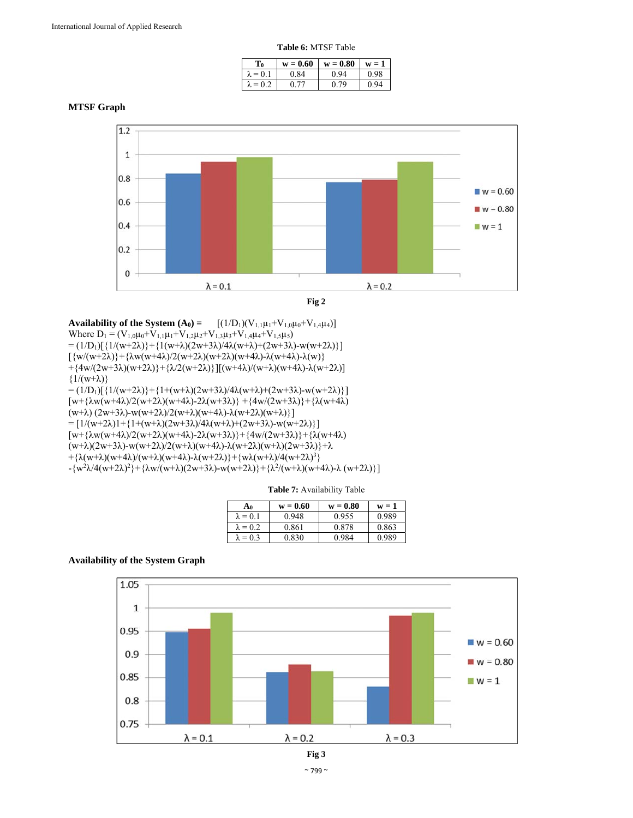| L`0             | $w = 0.60$ | $w = 0.80$ | W.           |
|-----------------|------------|------------|--------------|
| $= 0.1$         | 0.84       | 0.94       | 0.98         |
| $\lambda = 0.2$ |            | 0.79       | $Q_{\Delta}$ |

**MTSF Graph** 



**Fig 2** 

**Availability of the System**  $(A_0) =$   $[(1/D_1)(V_{1,1}\mu_1+V_{1,0}\mu_0+V_{1,4}\mu_4)]$ Where  $D_1 = (V_{1,0}\mu_0 + V_{1,1}\mu_1 + V_{1,2}\mu_2 + V_{1,3}\mu_3 + V_{1,4}\mu_4 + V_{1,5}\mu_5)$ =  $(1/D_1)[{1/(w+2\lambda)}+{1(w+\lambda)(2w+3\lambda)/4\lambda(w+\lambda)+(2w+3\lambda)-w(w+2\lambda)}]$  $\left[\frac{w}{w+2\lambda}\right]+\frac{\lambda w(w+4\lambda)}{2(w+2\lambda)(w+2\lambda)(w+4\lambda)}\cdot \lambda(w+4\lambda)\cdot \lambda(w)\}$ + ${4w/(2w+3\lambda)(w+2\lambda)}+{ \lambda/2(w+2\lambda)}$ ][(w+4 $\lambda$ )/(w+ $\lambda$ )(w+4 $\lambda$ )- $\lambda$ (w+2 $\lambda$ )]  $\{1/(w+\lambda)\}\$ =  $(1/D_1)[\{1/(w+2\lambda)\}+\{1+(w+\lambda)(2w+3\lambda)/4\lambda(w+\lambda)+(2w+3\lambda)\}$ [w+{λw(w+4λ)/2(w+2λ)(w+4λ)-2λ(w+3λ)} +{4w/(2w+3λ)}+{λ(w+4λ) (w+λ) (2w+3λ)-w(w+2λ)/2(w+λ)(w+4λ)-λ(w+2λ)(w+λ)}] =  $[1/(w+2\lambda)1+\{1+(w+\lambda)(2w+3\lambda)/4\lambda(w+\lambda)+(2w+3\lambda)-w(w+2\lambda)\}]$ [w+{λw(w+4λ)/2(w+2λ)(w+4λ)-2λ(w+3λ)}+{4w/(2w+3λ)}+{λ(w+4λ) (w+λ)(2w+3λ)-w(w+2λ)/2(w+λ)(w+4λ)-λ(w+2λ)(w+λ)(2w+3λ)}+λ +{ $\lambda(w+\lambda)(w+4\lambda)/(w+\lambda)(w+4\lambda)-\lambda(w+2\lambda)+\{w\lambda(w+\lambda)/4(w+2\lambda)^3\}$  $-\{w^2\lambda/4(w+2\lambda)^2\}+\{\lambda w/(w+\lambda)(2w+3\lambda)-w(w+2\lambda)\}+\{\lambda^2/(w+\lambda)(w+4\lambda)-\lambda(w+2\lambda)\}\}$ 

**Table 7:** Availability Table

| A0              | $w = 0.60$ | $w = 0.80$ | $w = 1$ |
|-----------------|------------|------------|---------|
| $\lambda = 0.1$ | 0.948      | 0.955      | 0.989   |
| $\lambda = 0.2$ | 0.861      | 0.878      | 0.863   |
| $\lambda = 0.3$ | 0.830      | 0.984      | 0.989   |

## **Availability of the System Graph**

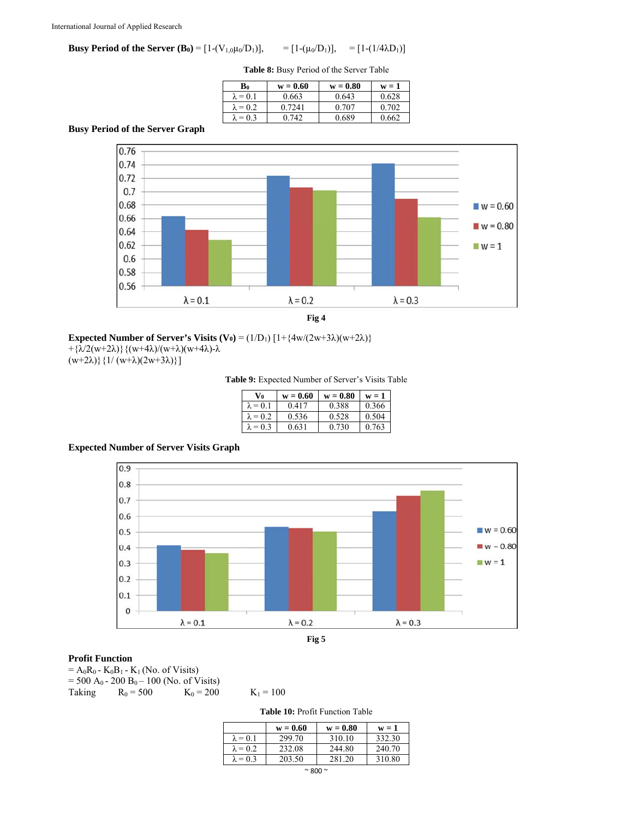**Busy Period of the Server**  $(B_0) = [1-(V_{1,0}\mu_0/D_1)], \qquad = [1-(\mu_0/D_1)], \qquad = [1-(1/4\lambda D_1)]$ 

**Table 8:** Busy Period of the Server Table

| Bo              | $w = 0.60$ | $w = 0.80$ | $w = 1$ |
|-----------------|------------|------------|---------|
| $\lambda = 0.1$ | 0.663      | 0.643      | 0.628   |
| $\lambda = 0.2$ | 0.7241     | 0.707      | 0.702   |
| $\lambda = 0.3$ | 0.742      | 0.689      | 0.662   |

# **Busy Period of the Server Graph**



**Expected Number of Server's Visits**  $(V_0) = (1/D_1) [1 + {4w/(2w+3\lambda)(w+2\lambda)}]$ 

+ ${\lambda}$ (w+2 $\lambda$ )} $({w+4\lambda})/({w+\lambda})$ (w+4 $\lambda$ )- $\lambda$ 

 $(w+2\lambda)\}$ {1/  $(w+\lambda)(2w+3\lambda)$ }]

**Table 9:** Expected Number of Server's Visits Table

| V0              | $w = 0.60$ | $w = 0.80$ | $W = I$ |
|-----------------|------------|------------|---------|
| $\lambda = 0.1$ | 0.417      | 0.388      | 0.366   |
| $\lambda = 0.2$ | 0.536      | 0.528      | 0.504   |
| $\lambda = 0.3$ | 0.631      | 0.730      | 0.763   |

**Expected Number of Server Visits Graph** 



## **Profit Function**

 $= A_0R_0 - K_0B_1 - K_1$  (No. of Visits)

= 500 A<sub>0</sub> - 200 B<sub>0</sub> – 100 (No. of Visits)<br>Taking R<sub>0</sub> = 500 K<sub>0</sub> = 200  $R_0 = 500$   $K_0 = 200$   $K_1 = 100$ 

**Table 10:** Profit Function Table

|                 | $w = 0.60$ | $w = 0.80$ | $w = 1$ |
|-----------------|------------|------------|---------|
| $\lambda = 0.1$ | 299.70     | 310.10     | 332.30  |
| $\lambda = 0.2$ | 232.08     | 244.80     | 240.70  |
| $\lambda = 0.3$ | 203.50     | 281.20     | 310.80  |